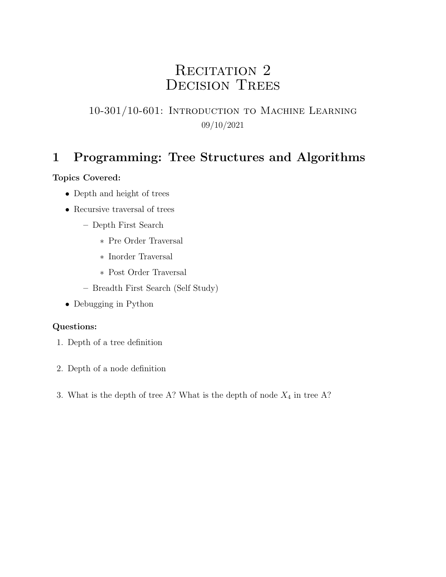# RECITATION 2 DECISION TREES

## 10-301/10-601: Introduction to Machine Learning 09/10/2021

# 1 Programming: Tree Structures and Algorithms

## Topics Covered:

- Depth and height of trees
- Recursive traversal of trees
	- Depth First Search
		- ∗ Pre Order Traversal
		- ∗ Inorder Traversal
		- ∗ Post Order Traversal
	- Breadth First Search (Self Study)
- Debugging in Python

## Questions:

- 1. Depth of a tree definition
- 2. Depth of a node definition
- 3. What is the depth of tree A? What is the depth of node  $X_4$  in tree A?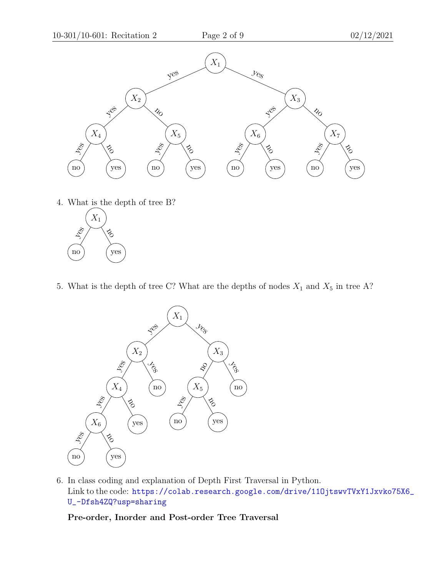

4. What is the depth of tree B?



5. What is the depth of tree C? What are the depths of nodes  $X_1$  and  $X_5$  in tree A?



6. In class coding and explanation of Depth First Traversal in Python. Link to the code: [https://colab.research.google.com/drive/11OjtswvTVxY1Jxvko7](https://colab.research.google.com/drive/11OjtswvTVxY1Jxvko75X6_U_-Dfsh4ZQ?usp=sharing)5X6\_ [U\\_-Dfsh4ZQ?usp=sharing](https://colab.research.google.com/drive/11OjtswvTVxY1Jxvko75X6_U_-Dfsh4ZQ?usp=sharing)

Pre-order, Inorder and Post-order Tree Traversal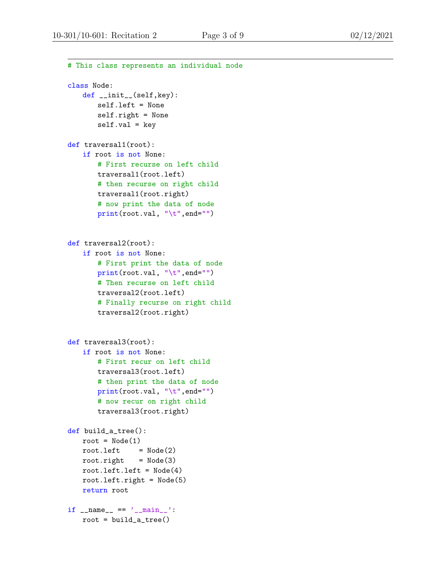```
# This class represents an individual node
class Node:
   def __init__(self,key):
       self.left = None
       self.right = None
       self.val = keydef traversal1(root):
   if root is not None:
       # First recurse on left child
       traversal1(root.left)
       # then recurse on right child
       traversal1(root.right)
       # now print the data of node
       print(root.val, "\t",end="")
def traversal2(root):
   if root is not None:
       # First print the data of node
       print(root.val, "\t",end="")
       # Then recurse on left child
       traversal2(root.left)
       # Finally recurse on right child
       traversal2(root.right)
def traversal3(root):
   if root is not None:
       # First recur on left child
       traversal3(root.left)
       # then print the data of node
       print(root.val, "\t",end="")
       # now recur on right child
       traversal3(root.right)
def build_a_tree():
   root = Node(1)root.left = Node(2)root.right = Node(3)root.left.left = Node(4)root.left.right = Node(5)return root
if __name__ == '__main__':
   root = build_a_ttree()
```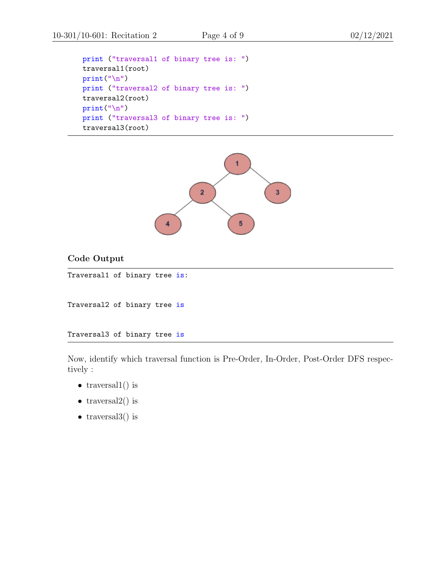```
print ("traversal1 of binary tree is: ")
traversal1(root)
print("n")print ("traversal2 of binary tree is: ")
traversal2(root)
print("\n")
print ("traversal3 of binary tree is: ")
traversal3(root)
```


#### Code Output

Traversal1 of binary tree is:

Traversal2 of binary tree is

#### Traversal3 of binary tree is

Now, identify which traversal function is Pre-Order, In-Order, Post-Order DFS respectively :

- traversal $1()$  is
- traversal $2()$  is
- traversal $3()$  is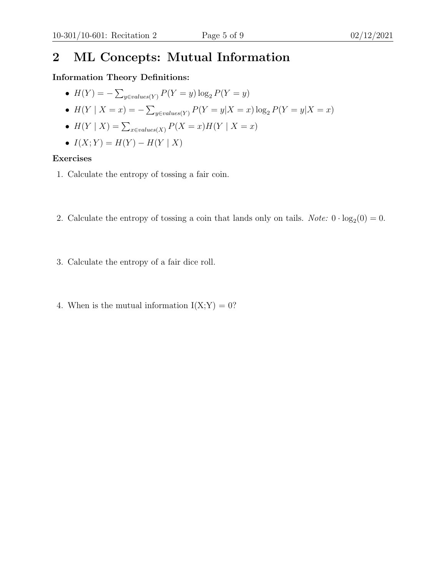## 2 ML Concepts: Mutual Information

## Information Theory Definitions:

• 
$$
H(Y) = -\sum_{y \in values(Y)} P(Y = y) \log_2 P(Y = y)
$$

- $H(Y | X = x) = -\sum_{y \in values(Y)} P(Y = y | X = x) \log_2 P(Y = y | X = x)$
- $H(Y | X) = \sum_{x \in values(X)} P(X = x)H(Y | X = x)$
- $I(X; Y) = H(Y) H(Y | X)$

#### Exercises

- 1. Calculate the entropy of tossing a fair coin.
- 2. Calculate the entropy of tossing a coin that lands only on tails. *Note:*  $0 \cdot \log_2(0) = 0$ .
- 3. Calculate the entropy of a fair dice roll.
- 4. When is the mutual information  $I(X;Y) = 0$ ?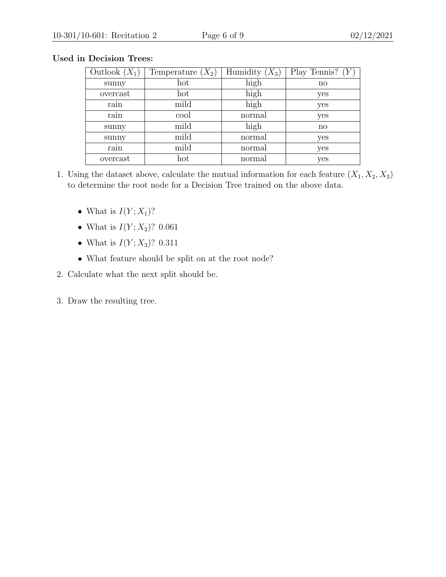| Outlook $(X_1)$ | Temperature $(X_2)$ | Humidity $(X_3)$ | Play Tennis? $(Y$ |
|-----------------|---------------------|------------------|-------------------|
| sunny           | hot                 | high             | $\mathbf{n}$      |
| overcast        | hot                 | high             | yes               |
| rain            | mild                | high             | yes               |
| rain            | cool                | normal           | yes               |
| sunny           | mild                | high             | $\mathbf{n}$      |
| sunny           | mild                | normal           | yes               |
| rain            | mild                | normal           | yes               |
| overcast        | hot                 | normal           | yes               |

## Used in Decision Trees:

- 1. Using the dataset above, calculate the mutual information for each feature  $(X_1, X_2, X_3)$ to determine the root node for a Decision Tree trained on the above data.
	- What is  $I(Y; X_1)$ ?
	- What is  $I(Y; X_2)$ ? 0.061
	- What is  $I(Y; X_3)$ ? 0.311
	- What feature should be split on at the root node?
- 2. Calculate what the next split should be.
- 3. Draw the resulting tree.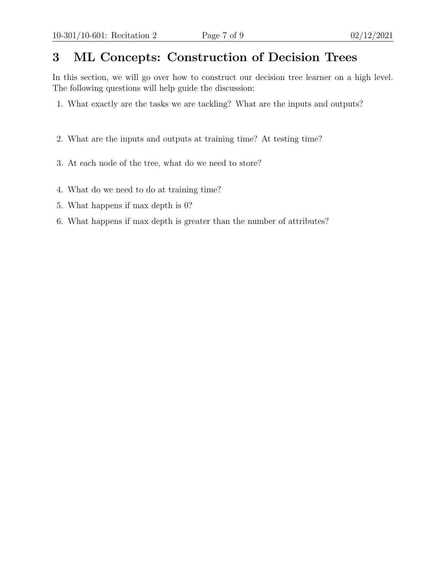## 3 ML Concepts: Construction of Decision Trees

In this section, we will go over how to construct our decision tree learner on a high level. The following questions will help guide the discussion:

- 1. What exactly are the tasks we are tackling? What are the inputs and outputs?
- 2. What are the inputs and outputs at training time? At testing time?
- 3. At each node of the tree, what do we need to store?
- 4. What do we need to do at training time?
- 5. What happens if max depth is 0?
- 6. What happens if max depth is greater than the number of attributes?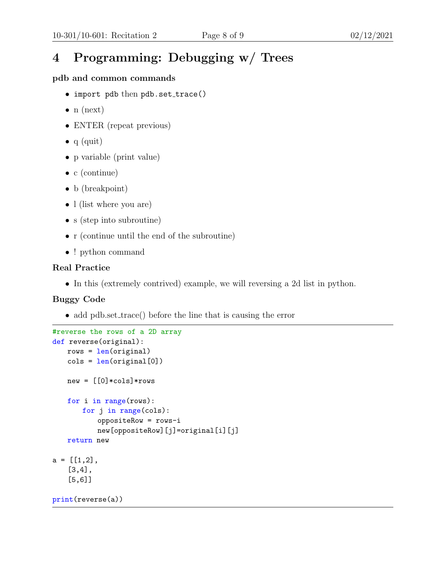# 4 Programming: Debugging w/ Trees

## pdb and common commands

- import pdb then pdb.set\_trace()
- $\bullet$  n (next)
- ENTER (repeat previous)
- $\bullet$  q (quit)
- p variable (print value)
- c (continue)
- b (breakpoint)
- l (list where you are)
- s (step into subroutine)
- r (continue until the end of the subroutine)
- ! python command

## Real Practice

• In this (extremely contrived) example, we will reversing a 2d list in python.

## Buggy Code

• add pdb.set\_trace() before the line that is causing the error

```
#reverse the rows of a 2D array
def reverse(original):
   rows = len(original)cols = len(original[0])new = [0]*cols]*rowsfor i in range(rows):
       for j in range(cols):
          oppositeRow = rows-i
          new[oppositeRow][j]=original[i][j]
   return new
a = [[1,2],[3,4],
   [5,6]]
```

```
print(reverse(a))
```